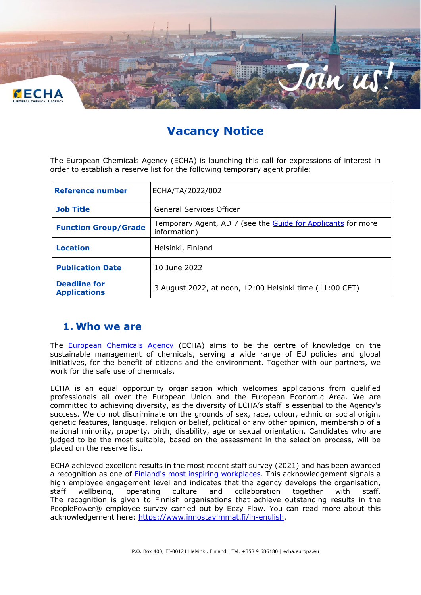

# **Vacancy Notice**

The European Chemicals Agency (ECHA) is launching this call for expressions of interest in order to establish a reserve list for the following temporary agent profile:

| <b>Reference number</b>                    | ECHA/TA/2022/002                                                             |
|--------------------------------------------|------------------------------------------------------------------------------|
| <b>Job Title</b>                           | General Services Officer                                                     |
| <b>Function Group/Grade</b>                | Temporary Agent, AD 7 (see the Guide for Applicants for more<br>information) |
| <b>Location</b>                            | Helsinki, Finland                                                            |
| <b>Publication Date</b>                    | 10 June 2022                                                                 |
| <b>Deadline for</b><br><b>Applications</b> | 3 August 2022, at noon, 12:00 Helsinki time (11:00 CET)                      |

### **1. Who we are**

The **[European Chemicals Agency](http://www.echa.europa.eu/)** (ECHA) aims to be the centre of knowledge on the sustainable management of chemicals, serving a wide range of EU policies and global initiatives, for the benefit of citizens and the environment. Together with our partners, we work for the safe use of chemicals.

ECHA is an equal opportunity organisation which welcomes applications from qualified professionals all over the European Union and the European Economic Area. We are committed to achieving diversity, as the diversity of ECHA's staff is essential to the Agency's success. We do not discriminate on the grounds of sex, race, colour, ethnic or social origin, genetic features, language, religion or belief, political or any other opinion, membership of a national minority, property, birth, disability, age or sexual orientation. Candidates who are judged to be the most suitable, based on the assessment in the selection process, will be placed on the reserve list.

ECHA achieved excellent results in the most recent staff survey (2021) and has been awarded a recognition as one of [Finland's most inspiring workplaces.](https://activity.echa.europa.eu/sites/act-14/process-14-8/_layouts/15/DocIdRedir.aspx?ID=ACTV14-56-426) This acknowledgement signals a high employee engagement level and indicates that the agency develops the organisation, staff wellbeing, operating culture and collaboration together with staff. The recognition is given to Finnish organisations that achieve outstanding results in the PeoplePower® employee survey carried out by Eezy Flow. You can read more about this acknowledgement here: [https://www.innostavimmat.fi/in-english.](https://www.innostavimmat.fi/in-english)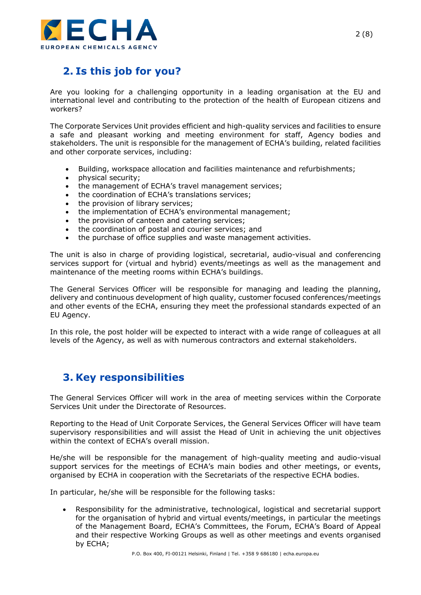

# **2. Is this job for you?**

Are you looking for a challenging opportunity in a leading organisation at the EU and international level and contributing to the protection of the health of European citizens and workers?

The Corporate Services Unit provides efficient and high-quality services and facilities to ensure a safe and pleasant working and meeting environment for staff, Agency bodies and stakeholders. The unit is responsible for the management of ECHA's building, related facilities and other corporate services, including:

- Building, workspace allocation and facilities maintenance and refurbishments;
- physical security;
- the management of ECHA's travel management services;
- the coordination of ECHA's translations services;
- the provision of library services;
- the implementation of ECHA's environmental management;
- the provision of canteen and catering services;
- the coordination of postal and courier services; and
- the purchase of office supplies and waste management activities.

The unit is also in charge of providing logistical, secretarial, audio-visual and conferencing services support for (virtual and hybrid) events/meetings as well as the management and maintenance of the meeting rooms within ECHA's buildings.

The General Services Officer will be responsible for managing and leading the planning, delivery and continuous development of high quality, customer focused conferences/meetings and other events of the ECHA, ensuring they meet the professional standards expected of an EU Agency.

In this role, the post holder will be expected to interact with a wide range of colleagues at all levels of the Agency, as well as with numerous contractors and external stakeholders.

# **3. Key responsibilities**

The General Services Officer will work in the area of meeting services within the Corporate Services Unit under the Directorate of Resources.

Reporting to the Head of Unit Corporate Services, the General Services Officer will have team supervisory responsibilities and will assist the Head of Unit in achieving the unit objectives within the context of FCHA's overall mission.

He/she will be responsible for the management of high-quality meeting and audio-visual support services for the meetings of ECHA's main bodies and other meetings, or events, organised by ECHA in cooperation with the Secretariats of the respective ECHA bodies.

In particular, he/she will be responsible for the following tasks:

• Responsibility for the administrative, technological, logistical and secretarial support for the organisation of hybrid and virtual events/meetings, in particular the meetings of the Management Board, ECHA's Committees, the Forum, ECHA's Board of Appeal and their respective Working Groups as well as other meetings and events organised by ECHA;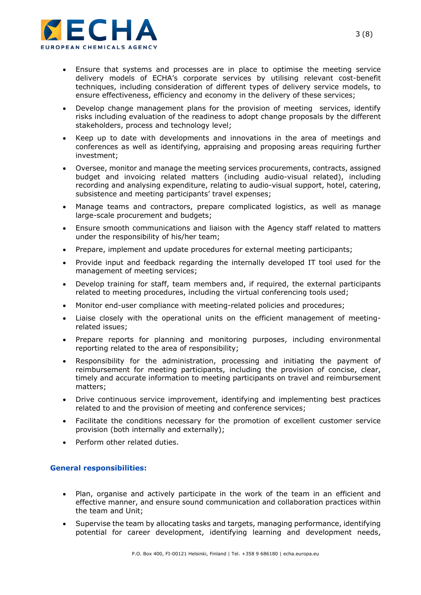

- Ensure that systems and processes are in place to optimise the meeting service delivery models of ECHA's corporate services by utilising relevant cost-benefit techniques, including consideration of different types of delivery service models, to ensure effectiveness, efficiency and economy in the delivery of these services;
- Develop change management plans for the provision of meeting services, identify risks including evaluation of the readiness to adopt change proposals by the different stakeholders, process and technology level;
- Keep up to date with developments and innovations in the area of meetings and conferences as well as identifying, appraising and proposing areas requiring further investment;
- Oversee, monitor and manage the meeting services procurements, contracts, assigned budget and invoicing related matters (including audio-visual related), including recording and analysing expenditure, relating to audio-visual support, hotel, catering, subsistence and meeting participants' travel expenses;
- Manage teams and contractors, prepare complicated logistics, as well as manage large-scale procurement and budgets;
- Ensure smooth communications and liaison with the Agency staff related to matters under the responsibility of his/her team;
- Prepare, implement and update procedures for external meeting participants;
- Provide input and feedback regarding the internally developed IT tool used for the management of meeting services;
- Develop training for staff, team members and, if required, the external participants related to meeting procedures, including the virtual conferencing tools used;
- Monitor end-user compliance with meeting-related policies and procedures;
- Liaise closely with the operational units on the efficient management of meetingrelated issues;
- Prepare reports for planning and monitoring purposes, including environmental reporting related to the area of responsibility;
- Responsibility for the administration, processing and initiating the payment of reimbursement for meeting participants, including the provision of concise, clear, timely and accurate information to meeting participants on travel and reimbursement matters;
- Drive continuous service improvement, identifying and implementing best practices related to and the provision of meeting and conference services;
- Facilitate the conditions necessary for the promotion of excellent customer service provision (both internally and externally);
- Perform other related duties.

#### **General responsibilities:**

- Plan, organise and actively participate in the work of the team in an efficient and effective manner, and ensure sound communication and collaboration practices within the team and Unit;
- Supervise the team by allocating tasks and targets, managing performance, identifying potential for career development, identifying learning and development needs,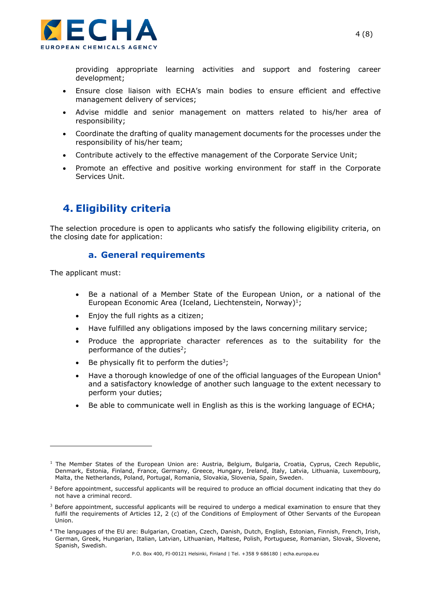

providing appropriate learning activities and support and fostering career development;

- Ensure close liaison with ECHA's main bodies to ensure efficient and effective management delivery of services;
- Advise middle and senior management on matters related to his/her area of responsibility;
- Coordinate the drafting of quality management documents for the processes under the responsibility of his/her team;
- Contribute actively to the effective management of the Corporate Service Unit;
- Promote an effective and positive working environment for staff in the Corporate Services Unit.

### **4. Eligibility criteria**

The selection procedure is open to applicants who satisfy the following eligibility criteria, on the closing date for application:

#### **a. General requirements**

The applicant must:

- Be a national of a Member State of the European Union, or a national of the European Economic Area (Iceland, Liechtenstein, Norway)<sup>1</sup>;
- Enjoy the full rights as a citizen;
- Have fulfilled any obligations imposed by the laws concerning military service;
- Produce the appropriate character references as to the suitability for the performance of the duties<sup>2</sup>;
- Be physically fit to perform the duties<sup>3</sup>;
- Have a thorough knowledge of one of the official languages of the European Union<sup>4</sup> and a satisfactory knowledge of another such language to the extent necessary to perform your duties;
- Be able to communicate well in English as this is the working language of ECHA;

 $1$  The Member States of the European Union are: Austria, Belgium, Bulgaria, Croatia, Cyprus, Czech Republic, Denmark, Estonia, Finland, France, Germany, Greece, Hungary, Ireland, Italy, Latvia, Lithuania, Luxembourg, Malta, the Netherlands, Poland, Portugal, Romania, Slovakia, Slovenia, Spain, Sweden.

<sup>&</sup>lt;sup>2</sup> Before appointment, successful applicants will be required to produce an official document indicating that they do not have a criminal record.

<sup>&</sup>lt;sup>3</sup> Before appointment, successful applicants will be required to undergo a medical examination to ensure that they fulfil the requirements of Articles 12, 2 (c) of the Conditions of Employment of Other Servants of the European Union.

<sup>4</sup> The languages of the EU are: Bulgarian, Croatian, Czech, Danish, Dutch, English, Estonian, Finnish, French, Irish, German, Greek, Hungarian, Italian, Latvian, Lithuanian, Maltese, Polish, Portuguese, Romanian, Slovak, Slovene, Spanish, Swedish.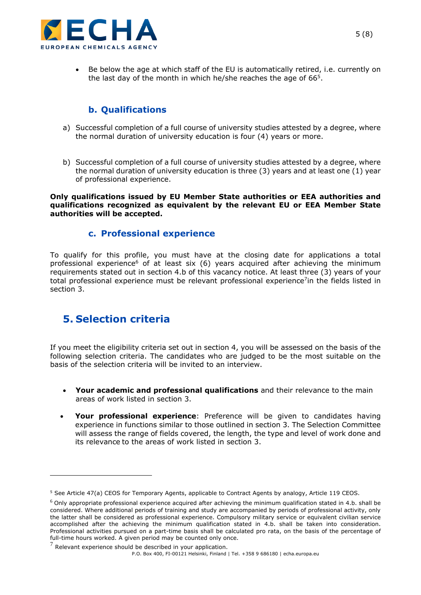

• Be below the age at which staff of the EU is automatically retired, i.e. currently on the last day of the month in which he/she reaches the age of  $66<sup>5</sup>$ .

### **b. Qualifications**

- a) Successful completion of a full course of university studies attested by a degree, where the normal duration of university education is four (4) years or more.
- b) Successful completion of a full course of university studies attested by a degree, where the normal duration of university education is three (3) years and at least one (1) year of professional experience.

**Only qualifications issued by EU Member State authorities or EEA authorities and qualifications recognized as equivalent by the relevant EU or EEA Member State authorities will be accepted.**

### **c. Professional experience**

To qualify for this profile, you must have at the closing date for applications a total professional experience<sup>6</sup> of at least six  $(6)$  years acquired after achieving the minimum requirements stated out in section 4.b of this vacancy notice. At least three (3) years of your total professional experience must be relevant professional experience<sup>7</sup>in the fields listed in section 3.

# **5. Selection criteria**

If you meet the eligibility criteria set out in section 4, you will be assessed on the basis of the following selection criteria. The candidates who are judged to be the most suitable on the basis of the selection criteria will be invited to an interview.

- **Your academic and professional qualifications** and their relevance to the main areas of work listed in section 3.
- **Your professional experience**: Preference will be given to candidates having experience in functions similar to those outlined in section 3. The Selection Committee will assess the range of fields covered, the length, the type and level of work done and its relevance to the areas of work listed in section 3.

<sup>&</sup>lt;sup>5</sup> See Article 47(a) CEOS for Temporary Agents, applicable to Contract Agents by analogy, Article 119 CEOS.

 $6$  Only appropriate professional experience acquired after achieving the minimum qualification stated in 4.b. shall be considered. Where additional periods of training and study are accompanied by periods of professional activity, only the latter shall be considered as professional experience. Compulsory military service or equivalent civilian service accomplished after the achieving the minimum qualification stated in 4.b. shall be taken into consideration. Professional activities pursued on a part-time basis shall be calculated pro rata, on the basis of the percentage of full-time hours worked. A given period may be counted only once.

 $7$  Relevant experience should be described in your application.

P.O. Box 400, FI-00121 Helsinki, Finland | Tel. +358 9 686180 | echa.europa.eu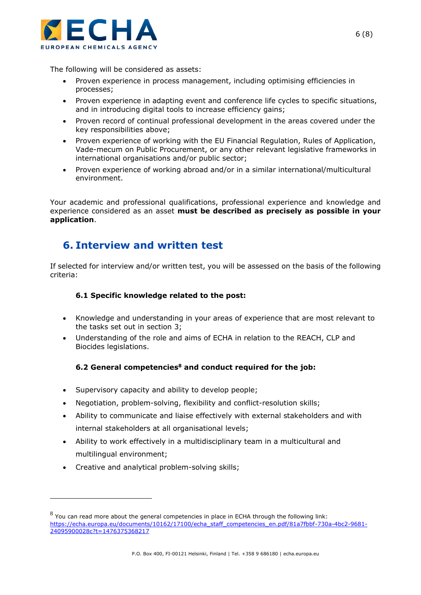

The following will be considered as assets:

- Proven experience in process management, including optimising efficiencies in processes;
- Proven experience in adapting event and conference life cycles to specific situations, and in introducing digital tools to increase efficiency gains;
- Proven record of continual professional development in the areas covered under the key responsibilities above;
- Proven experience of working with the EU Financial Regulation, Rules of Application, Vade-mecum on Public Procurement, or any other relevant legislative frameworks in international organisations and/or public sector;
- Proven experience of working abroad and/or in a similar international/multicultural environment.

Your academic and professional qualifications, professional experience and knowledge and experience considered as an asset **must be described as precisely as possible in your application**.

## **6. Interview and written test**

If selected for interview and/or written test, you will be assessed on the basis of the following criteria:

#### **6.1 Specific knowledge related to the post:**

- Knowledge and understanding in your areas of experience that are most relevant to the tasks set out in section 3;
- Understanding of the role and aims of ECHA in relation to the REACH, CLP and Biocides legislations.

### **6.2 General competencies<sup>8</sup> and conduct required for the job:**

- Supervisory capacity and ability to develop people;
- Negotiation, problem-solving, flexibility and conflict-resolution skills;
- Ability to communicate and liaise effectively with external stakeholders and with internal stakeholders at all organisational levels;
- Ability to work effectively in a multidisciplinary team in a multicultural and multilingual environment;
- Creative and analytical problem-solving skills;

 $8$  You can read more about the general competencies in place in ECHA through the following link: [https://echa.europa.eu/documents/10162/17100/echa\\_staff\\_competencies\\_en.pdf/81a7fbbf-730a-4bc2-9681-](https://echa.europa.eu/documents/10162/17100/echa_staff_competencies_en.pdf/81a7fbbf-730a-4bc2-9681-24095900028c?t=1476375368217) [24095900028c?t=1476375368217](https://echa.europa.eu/documents/10162/17100/echa_staff_competencies_en.pdf/81a7fbbf-730a-4bc2-9681-24095900028c?t=1476375368217)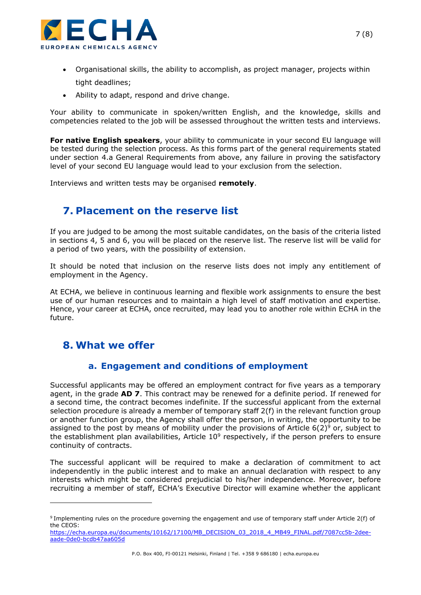

- Organisational skills, the ability to accomplish, as project manager, projects within tight deadlines;
- Ability to adapt, respond and drive change.

Your ability to communicate in spoken/written English, and the knowledge, skills and competencies related to the job will be assessed throughout the written tests and interviews.

**For native English speakers**, your ability to communicate in your second EU language will be tested during the selection process. As this forms part of the general requirements stated under section 4.a General Requirements from above, any failure in proving the satisfactory level of your second EU language would lead to your exclusion from the selection.

Interviews and written tests may be organised **remotely**.

# **7. Placement on the reserve list**

If you are judged to be among the most suitable candidates, on the basis of the criteria listed in sections 4, 5 and 6, you will be placed on the reserve list. The reserve list will be valid for a period of two years, with the possibility of extension.

It should be noted that inclusion on the reserve lists does not imply any entitlement of employment in the Agency.

At ECHA, we believe in continuous learning and flexible work assignments to ensure the best use of our human resources and to maintain a high level of staff motivation and expertise. Hence, your career at ECHA, once recruited, may lead you to another role within ECHA in the future.

# **8. What we offer**

### **a. Engagement and conditions of employment**

Successful applicants may be offered an employment contract for five years as a temporary agent, in the grade **AD 7**. This contract may be renewed for a definite period. If renewed for a second time, the contract becomes indefinite. If the successful applicant from the external selection procedure is already a member of temporary staff 2(f) in the relevant function group or another function group, the Agency shall offer the person, in writing, the opportunity to be assigned to the post by means of mobility under the provisions of Article  $6(2)^9$  or, subject to the establishment plan availabilities, Article  $10^9$  respectively, if the person prefers to ensure continuity of contracts.

The successful applicant will be required to make a declaration of commitment to act independently in the public interest and to make an annual declaration with respect to any interests which might be considered prejudicial to his/her independence. Moreover, before recruiting a member of staff, ECHA's Executive Director will examine whether the applicant

[https://echa.europa.eu/documents/10162/17100/MB\\_DECISION\\_03\\_2018\\_4\\_MB49\\_FINAL.pdf/7087cc5b-2dee](https://echa.europa.eu/documents/10162/17100/MB_DECISION_03_2018_4_MB49_FINAL.pdf/7087cc5b-2dee-aade-0de0-bcdb47aa605d)[aade-0de0-bcdb47aa605d](https://echa.europa.eu/documents/10162/17100/MB_DECISION_03_2018_4_MB49_FINAL.pdf/7087cc5b-2dee-aade-0de0-bcdb47aa605d)

<sup>&</sup>lt;sup>9</sup> Implementing rules on the procedure governing the engagement and use of temporary staff under Article 2(f) of the CEOS: